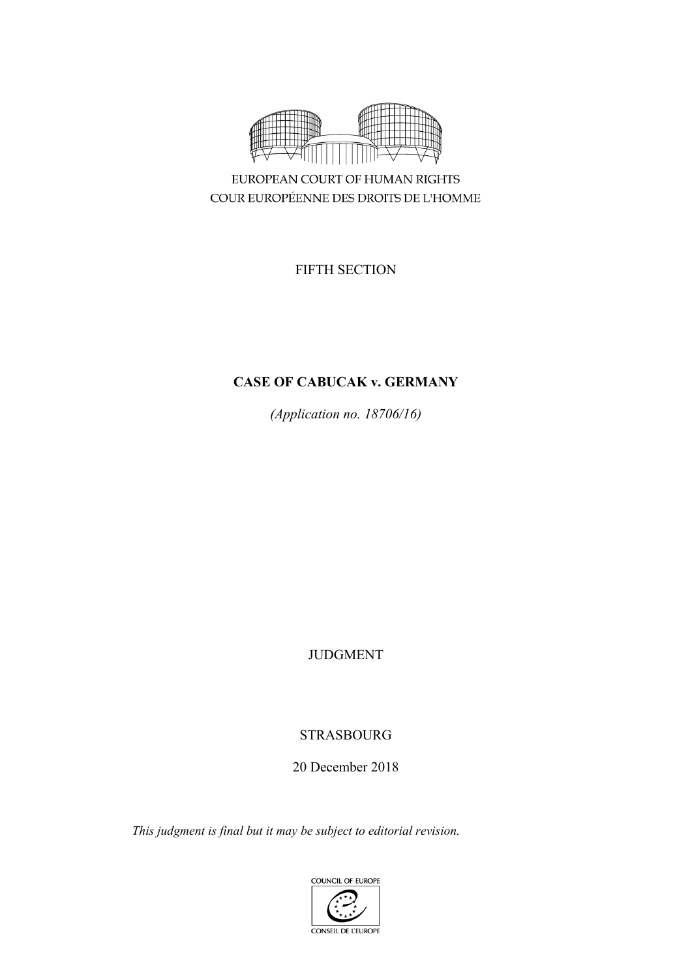

EUROPEAN COURT OF HUMAN RIGHTS COUR EUROPÉENNE DES DROITS DE L'HOMME

FIFTH SECTION

# **CASE OF CABUCAK v. GERMANY**

*(Application no. 18706/16)*

JUDGMENT

# STRASBOURG

20 December 2018

*This judgment is final but it may be subject to editorial revision.*

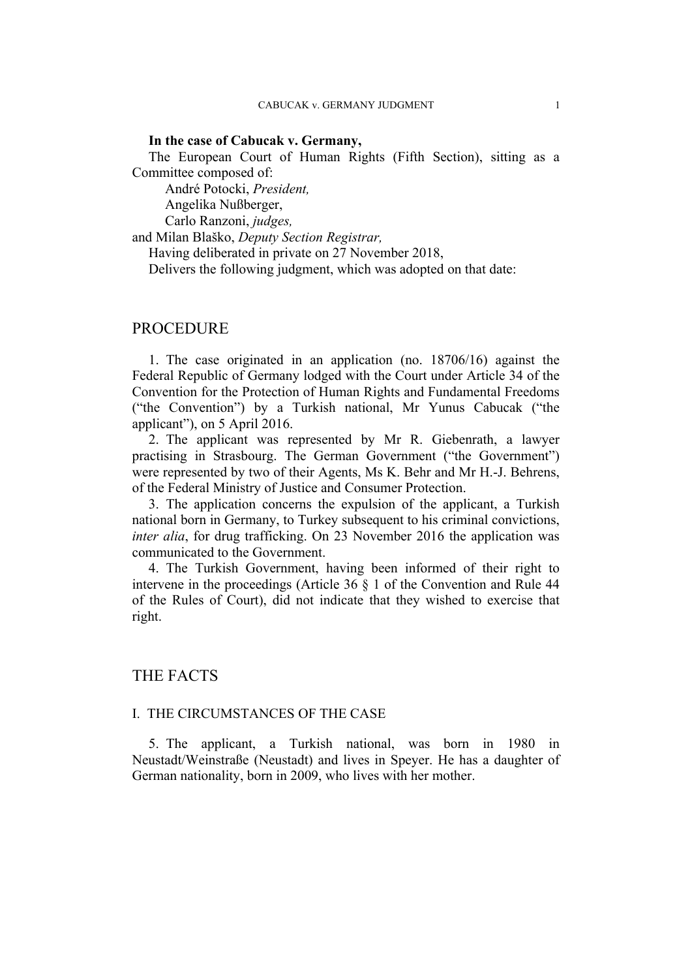### **In the case of Cabucak v. Germany,**

The European Court of Human Rights (Fifth Section), sitting as a Committee composed of:

André Potocki, *President,*

Angelika Nußberger,

Carlo Ranzoni, *judges,*

and Milan Blaško, *Deputy Section Registrar,*

Having deliberated in private on 27 November 2018,

Delivers the following judgment, which was adopted on that date:

## PROCEDURE

1. The case originated in an application (no. 18706/16) against the Federal Republic of Germany lodged with the Court under Article 34 of the Convention for the Protection of Human Rights and Fundamental Freedoms ("the Convention") by a Turkish national, Mr Yunus Cabucak ("the applicant"), on 5 April 2016.

2. The applicant was represented by Mr R. Giebenrath, a lawyer practising in Strasbourg. The German Government ("the Government") were represented by two of their Agents, Ms K. Behr and Mr H.-J. Behrens, of the Federal Ministry of Justice and Consumer Protection.

3. The application concerns the expulsion of the applicant, a Turkish national born in Germany, to Turkey subsequent to his criminal convictions, *inter alia*, for drug trafficking. On 23 November 2016 the application was communicated to the Government.

4. The Turkish Government, having been informed of their right to intervene in the proceedings (Article 36 § 1 of the Convention and Rule 44 of the Rules of Court), did not indicate that they wished to exercise that right.

# THE FACTS

## I. THE CIRCUMSTANCES OF THE CASE

5. The applicant, a Turkish national, was born in 1980 in Neustadt/Weinstraße (Neustadt) and lives in Speyer. He has a daughter of German nationality, born in 2009, who lives with her mother.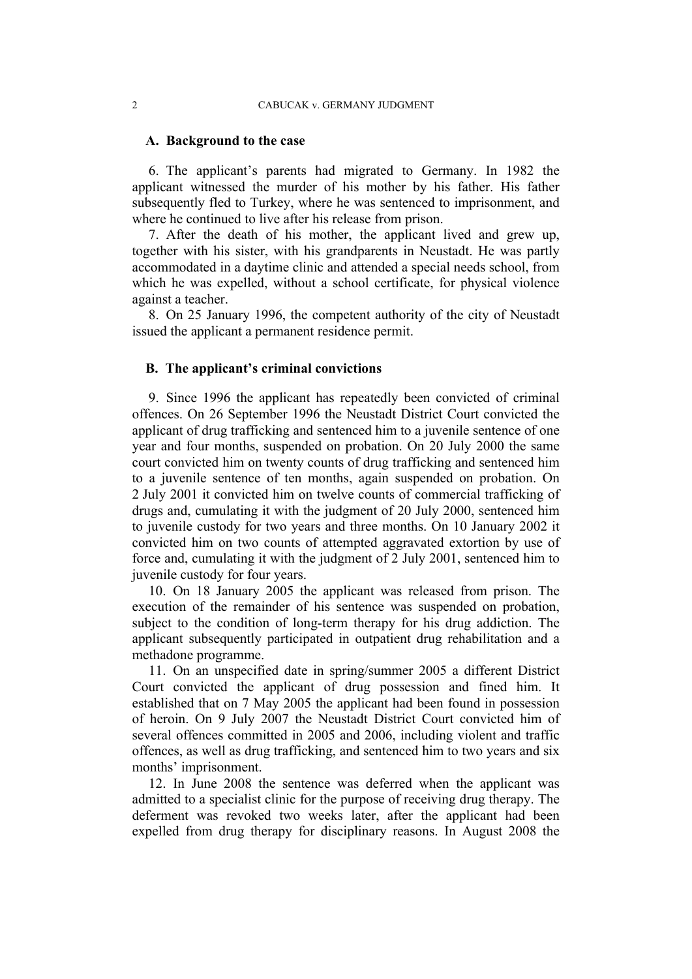## **A. Background to the case**

6. The applicant's parents had migrated to Germany. In 1982 the applicant witnessed the murder of his mother by his father. His father subsequently fled to Turkey, where he was sentenced to imprisonment, and where he continued to live after his release from prison.

7. After the death of his mother, the applicant lived and grew up, together with his sister, with his grandparents in Neustadt. He was partly accommodated in a daytime clinic and attended a special needs school, from which he was expelled, without a school certificate, for physical violence against a teacher.

8. On 25 January 1996, the competent authority of the city of Neustadt issued the applicant a permanent residence permit.

#### **B. The applicant's criminal convictions**

9. Since 1996 the applicant has repeatedly been convicted of criminal offences. On 26 September 1996 the Neustadt District Court convicted the applicant of drug trafficking and sentenced him to a juvenile sentence of one year and four months, suspended on probation. On 20 July 2000 the same court convicted him on twenty counts of drug trafficking and sentenced him to a juvenile sentence of ten months, again suspended on probation. On 2 July 2001 it convicted him on twelve counts of commercial trafficking of drugs and, cumulating it with the judgment of 20 July 2000, sentenced him to juvenile custody for two years and three months. On 10 January 2002 it convicted him on two counts of attempted aggravated extortion by use of force and, cumulating it with the judgment of 2 July 2001, sentenced him to juvenile custody for four years.

10. On 18 January 2005 the applicant was released from prison. The execution of the remainder of his sentence was suspended on probation, subject to the condition of long-term therapy for his drug addiction. The applicant subsequently participated in outpatient drug rehabilitation and a methadone programme.

11. On an unspecified date in spring/summer 2005 a different District Court convicted the applicant of drug possession and fined him. It established that on 7 May 2005 the applicant had been found in possession of heroin. On 9 July 2007 the Neustadt District Court convicted him of several offences committed in 2005 and 2006, including violent and traffic offences, as well as drug trafficking, and sentenced him to two years and six months' imprisonment.

12. In June 2008 the sentence was deferred when the applicant was admitted to a specialist clinic for the purpose of receiving drug therapy. The deferment was revoked two weeks later, after the applicant had been expelled from drug therapy for disciplinary reasons. In August 2008 the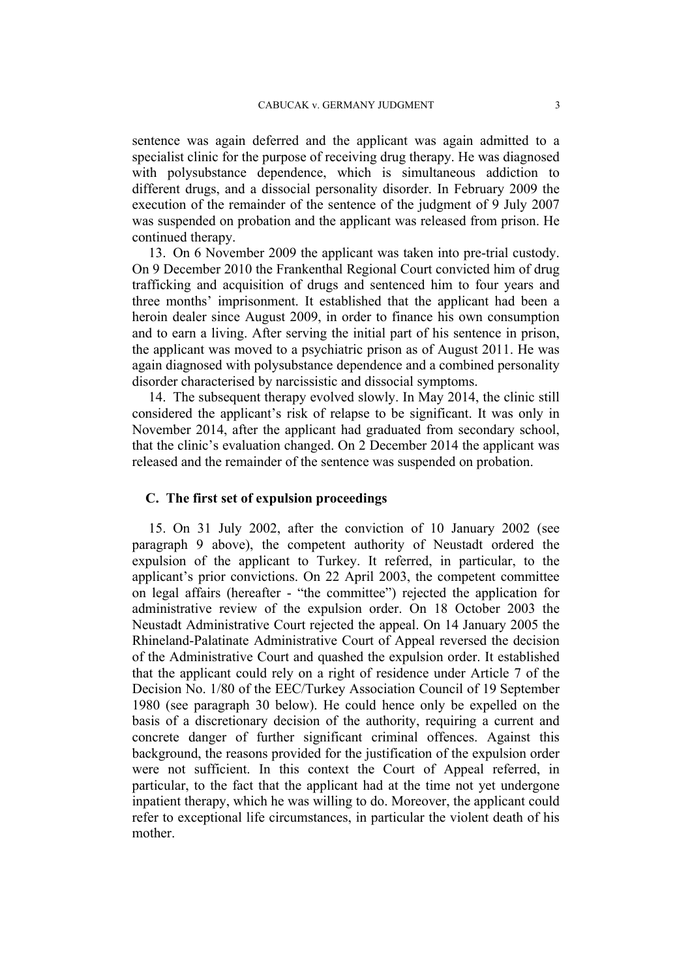sentence was again deferred and the applicant was again admitted to a specialist clinic for the purpose of receiving drug therapy. He was diagnosed with polysubstance dependence, which is simultaneous addiction to different drugs, and a dissocial personality disorder. In February 2009 the execution of the remainder of the sentence of the judgment of 9 July 2007 was suspended on probation and the applicant was released from prison. He continued therapy.

13. On 6 November 2009 the applicant was taken into pre-trial custody. On 9 December 2010 the Frankenthal Regional Court convicted him of drug trafficking and acquisition of drugs and sentenced him to four years and three months' imprisonment. It established that the applicant had been a heroin dealer since August 2009, in order to finance his own consumption and to earn a living. After serving the initial part of his sentence in prison, the applicant was moved to a psychiatric prison as of August 2011. He was again diagnosed with polysubstance dependence and a combined personality disorder characterised by narcissistic and dissocial symptoms.

14. The subsequent therapy evolved slowly. In May 2014, the clinic still considered the applicant's risk of relapse to be significant. It was only in November 2014, after the applicant had graduated from secondary school, that the clinic's evaluation changed. On 2 December 2014 the applicant was released and the remainder of the sentence was suspended on probation.

## **C. The first set of expulsion proceedings**

15. On 31 July 2002, after the conviction of 10 January 2002 (see paragraph 9 above), the competent authority of Neustadt ordered the expulsion of the applicant to Turkey. It referred, in particular, to the applicant's prior convictions. On 22 April 2003, the competent committee on legal affairs (hereafter - "the committee") rejected the application for administrative review of the expulsion order. On 18 October 2003 the Neustadt Administrative Court rejected the appeal. On 14 January 2005 the Rhineland-Palatinate Administrative Court of Appeal reversed the decision of the Administrative Court and quashed the expulsion order. It established that the applicant could rely on a right of residence under Article 7 of the Decision No. 1/80 of the EEC/Turkey Association Council of 19 September 1980 (see paragraph 30 below). He could hence only be expelled on the basis of a discretionary decision of the authority, requiring a current and concrete danger of further significant criminal offences. Against this background, the reasons provided for the justification of the expulsion order were not sufficient. In this context the Court of Appeal referred, in particular, to the fact that the applicant had at the time not yet undergone inpatient therapy, which he was willing to do. Moreover, the applicant could refer to exceptional life circumstances, in particular the violent death of his mother.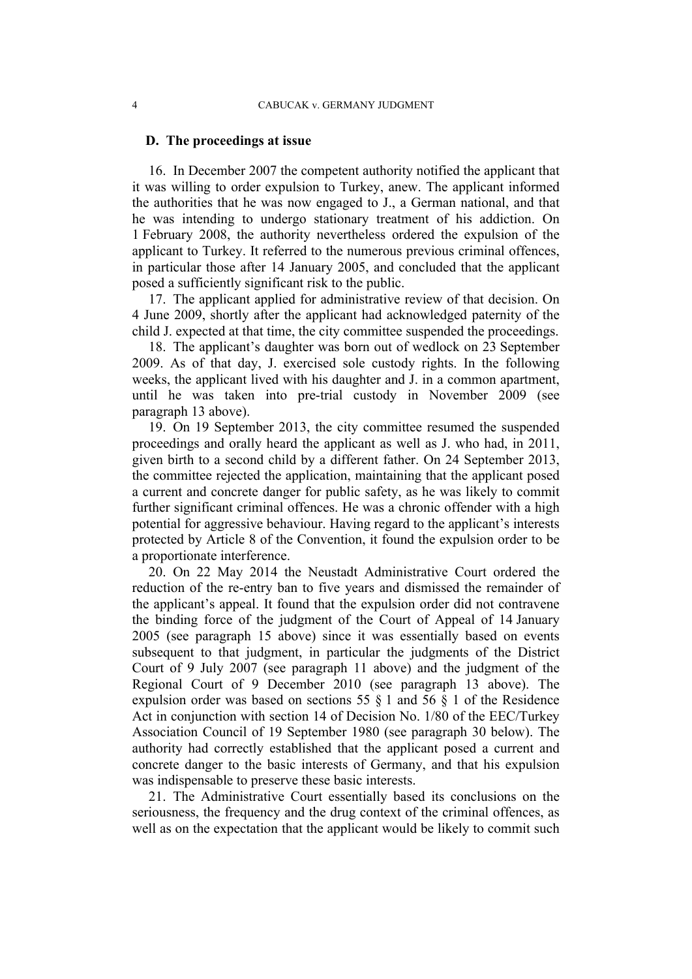### **D. The proceedings at issue**

16. In December 2007 the competent authority notified the applicant that it was willing to order expulsion to Turkey, anew. The applicant informed the authorities that he was now engaged to J., a German national, and that he was intending to undergo stationary treatment of his addiction. On 1 February 2008, the authority nevertheless ordered the expulsion of the applicant to Turkey. It referred to the numerous previous criminal offences, in particular those after 14 January 2005, and concluded that the applicant posed a sufficiently significant risk to the public.

17. The applicant applied for administrative review of that decision. On 4 June 2009, shortly after the applicant had acknowledged paternity of the child J. expected at that time, the city committee suspended the proceedings.

18. The applicant's daughter was born out of wedlock on 23 September 2009. As of that day, J. exercised sole custody rights. In the following weeks, the applicant lived with his daughter and J. in a common apartment, until he was taken into pre-trial custody in November 2009 (see paragraph 13 above).

19. On 19 September 2013, the city committee resumed the suspended proceedings and orally heard the applicant as well as J. who had, in 2011, given birth to a second child by a different father. On 24 September 2013, the committee rejected the application, maintaining that the applicant posed a current and concrete danger for public safety, as he was likely to commit further significant criminal offences. He was a chronic offender with a high potential for aggressive behaviour. Having regard to the applicant's interests protected by Article 8 of the Convention, it found the expulsion order to be a proportionate interference.

20. On 22 May 2014 the Neustadt Administrative Court ordered the reduction of the re-entry ban to five years and dismissed the remainder of the applicant's appeal. It found that the expulsion order did not contravene the binding force of the judgment of the Court of Appeal of 14 January 2005 (see paragraph 15 above) since it was essentially based on events subsequent to that judgment, in particular the judgments of the District Court of 9 July 2007 (see paragraph 11 above) and the judgment of the Regional Court of 9 December 2010 (see paragraph 13 above). The expulsion order was based on sections 55 § 1 and 56 § 1 of the Residence Act in conjunction with section 14 of Decision No. 1/80 of the EEC/Turkey Association Council of 19 September 1980 (see paragraph 30 below). The authority had correctly established that the applicant posed a current and concrete danger to the basic interests of Germany, and that his expulsion was indispensable to preserve these basic interests.

21. The Administrative Court essentially based its conclusions on the seriousness, the frequency and the drug context of the criminal offences, as well as on the expectation that the applicant would be likely to commit such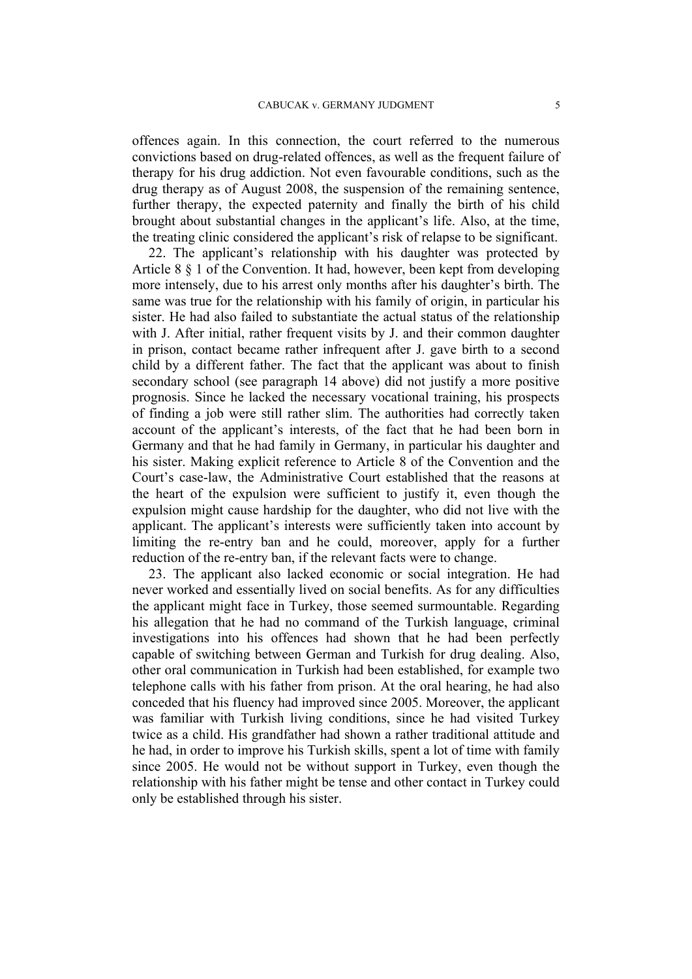offences again. In this connection, the court referred to the numerous convictions based on drug-related offences, as well as the frequent failure of therapy for his drug addiction. Not even favourable conditions, such as the drug therapy as of August 2008, the suspension of the remaining sentence, further therapy, the expected paternity and finally the birth of his child brought about substantial changes in the applicant's life. Also, at the time, the treating clinic considered the applicant's risk of relapse to be significant.

22. The applicant's relationship with his daughter was protected by Article 8 § 1 of the Convention. It had, however, been kept from developing more intensely, due to his arrest only months after his daughter's birth. The same was true for the relationship with his family of origin, in particular his sister. He had also failed to substantiate the actual status of the relationship with J. After initial, rather frequent visits by J. and their common daughter in prison, contact became rather infrequent after J. gave birth to a second child by a different father. The fact that the applicant was about to finish secondary school (see paragraph 14 above) did not justify a more positive prognosis. Since he lacked the necessary vocational training, his prospects of finding a job were still rather slim. The authorities had correctly taken account of the applicant's interests, of the fact that he had been born in Germany and that he had family in Germany, in particular his daughter and his sister. Making explicit reference to Article 8 of the Convention and the Court's case-law, the Administrative Court established that the reasons at the heart of the expulsion were sufficient to justify it, even though the expulsion might cause hardship for the daughter, who did not live with the applicant. The applicant's interests were sufficiently taken into account by limiting the re-entry ban and he could, moreover, apply for a further reduction of the re-entry ban, if the relevant facts were to change.

23. The applicant also lacked economic or social integration. He had never worked and essentially lived on social benefits. As for any difficulties the applicant might face in Turkey, those seemed surmountable. Regarding his allegation that he had no command of the Turkish language, criminal investigations into his offences had shown that he had been perfectly capable of switching between German and Turkish for drug dealing. Also, other oral communication in Turkish had been established, for example two telephone calls with his father from prison. At the oral hearing, he had also conceded that his fluency had improved since 2005. Moreover, the applicant was familiar with Turkish living conditions, since he had visited Turkey twice as a child. His grandfather had shown a rather traditional attitude and he had, in order to improve his Turkish skills, spent a lot of time with family since 2005. He would not be without support in Turkey, even though the relationship with his father might be tense and other contact in Turkey could only be established through his sister.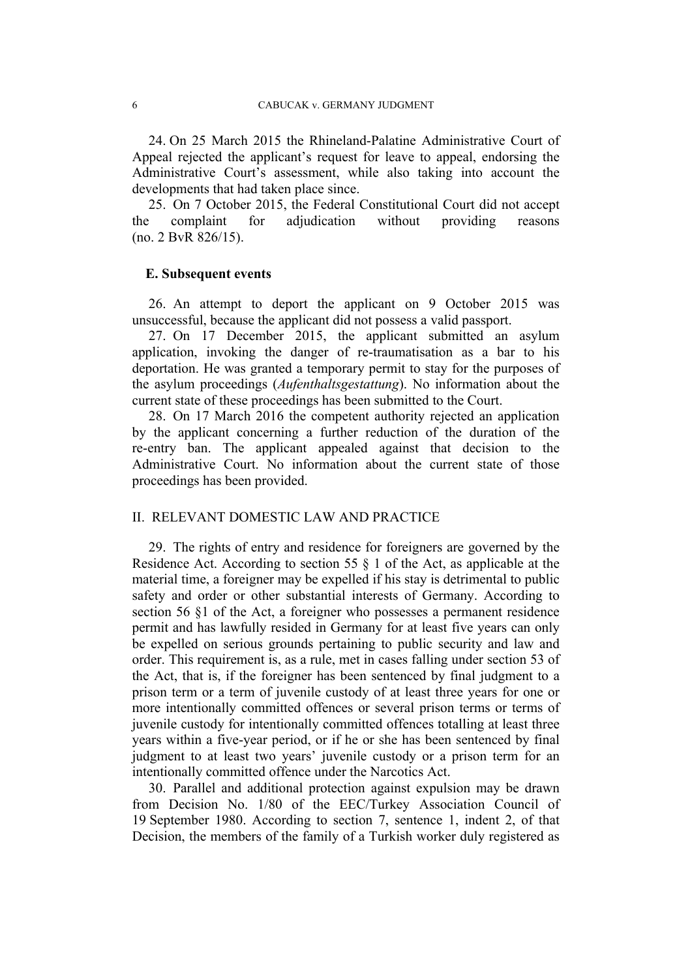24. On 25 March 2015 the Rhineland-Palatine Administrative Court of Appeal rejected the applicant's request for leave to appeal, endorsing the Administrative Court's assessment, while also taking into account the developments that had taken place since.

25. On 7 October 2015, the Federal Constitutional Court did not accept the complaint for adjudication without providing reasons (no. 2 BvR 826/15).

### **E. Subsequent events**

26. An attempt to deport the applicant on 9 October 2015 was unsuccessful, because the applicant did not possess a valid passport.

27. On 17 December 2015, the applicant submitted an asylum application, invoking the danger of re-traumatisation as a bar to his deportation. He was granted a temporary permit to stay for the purposes of the asylum proceedings (*Aufenthaltsgestattung*). No information about the current state of these proceedings has been submitted to the Court.

28. On 17 March 2016 the competent authority rejected an application by the applicant concerning a further reduction of the duration of the re-entry ban. The applicant appealed against that decision to the Administrative Court. No information about the current state of those proceedings has been provided.

# II. RELEVANT DOMESTIC LAW AND PRACTICE

29. The rights of entry and residence for foreigners are governed by the Residence Act. According to section 55 § 1 of the Act, as applicable at the material time, a foreigner may be expelled if his stay is detrimental to public safety and order or other substantial interests of Germany. According to section 56 §1 of the Act, a foreigner who possesses a permanent residence permit and has lawfully resided in Germany for at least five years can only be expelled on serious grounds pertaining to public security and law and order. This requirement is, as a rule, met in cases falling under section 53 of the Act, that is, if the foreigner has been sentenced by final judgment to a prison term or a term of juvenile custody of at least three years for one or more intentionally committed offences or several prison terms or terms of juvenile custody for intentionally committed offences totalling at least three years within a five-year period, or if he or she has been sentenced by final judgment to at least two years' juvenile custody or a prison term for an intentionally committed offence under the Narcotics Act.

30. Parallel and additional protection against expulsion may be drawn from Decision No. 1/80 of the EEC/Turkey Association Council of 19 September 1980. According to section 7, sentence 1, indent 2, of that Decision, the members of the family of a Turkish worker duly registered as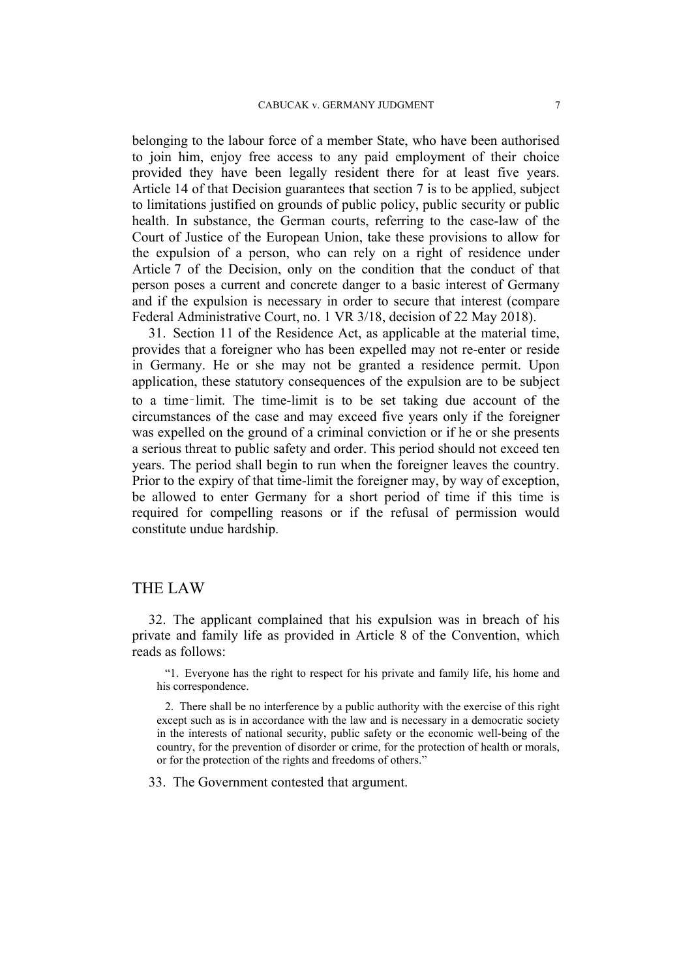belonging to the labour force of a member State, who have been authorised to join him, enjoy free access to any paid employment of their choice provided they have been legally resident there for at least five years. Article 14 of that Decision guarantees that section 7 is to be applied, subject to limitations justified on grounds of public policy, public security or public health. In substance, the German courts, referring to the case-law of the Court of Justice of the European Union, take these provisions to allow for the expulsion of a person, who can rely on a right of residence under Article 7 of the Decision, only on the condition that the conduct of that person poses a current and concrete danger to a basic interest of Germany and if the expulsion is necessary in order to secure that interest (compare Federal Administrative Court, no. 1 VR 3/18, decision of 22 May 2018).

31. Section 11 of the Residence Act, as applicable at the material time, provides that a foreigner who has been expelled may not re-enter or reside in Germany. He or she may not be granted a residence permit. Upon application, these statutory consequences of the expulsion are to be subject to a time‑limit. The time-limit is to be set taking due account of the circumstances of the case and may exceed five years only if the foreigner was expelled on the ground of a criminal conviction or if he or she presents a serious threat to public safety and order. This period should not exceed ten years. The period shall begin to run when the foreigner leaves the country. Prior to the expiry of that time-limit the foreigner may, by way of exception, be allowed to enter Germany for a short period of time if this time is required for compelling reasons or if the refusal of permission would constitute undue hardship.

# THE LAW

32. The applicant complained that his expulsion was in breach of his private and family life as provided in Article 8 of the Convention, which reads as follows:

"1. Everyone has the right to respect for his private and family life, his home and his correspondence.

2. There shall be no interference by a public authority with the exercise of this right except such as is in accordance with the law and is necessary in a democratic society in the interests of national security, public safety or the economic well-being of the country, for the prevention of disorder or crime, for the protection of health or morals, or for the protection of the rights and freedoms of others."

33. The Government contested that argument.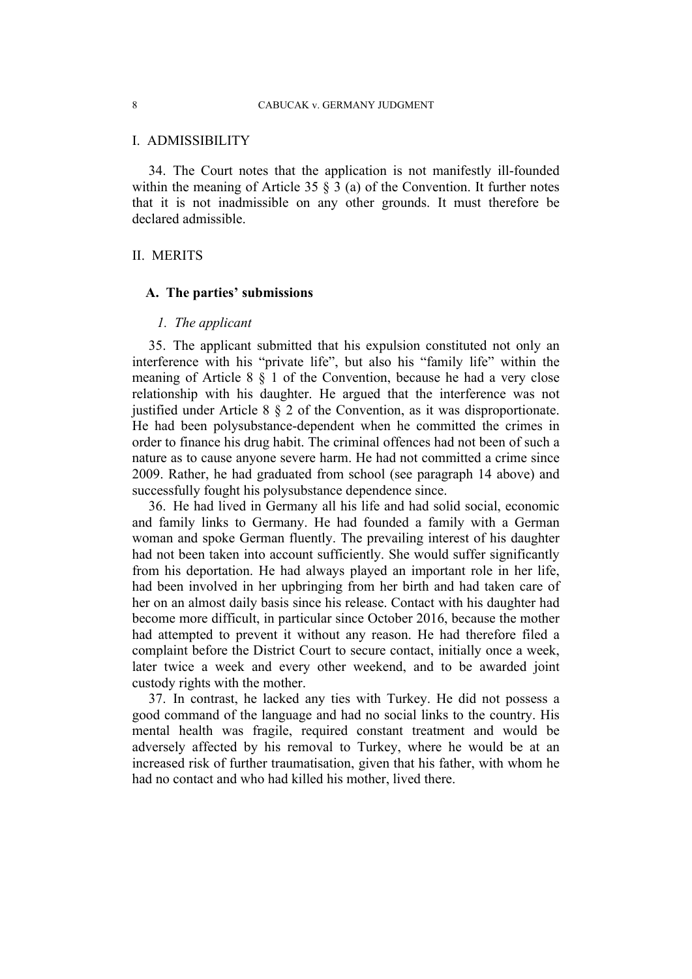#### I. ADMISSIBILITY

34. The Court notes that the application is not manifestly ill-founded within the meaning of Article 35  $\S$  3 (a) of the Convention. It further notes that it is not inadmissible on any other grounds. It must therefore be declared admissible.

### II. MERITS

#### **A. The parties' submissions**

#### *1. The applicant*

35. The applicant submitted that his expulsion constituted not only an interference with his "private life", but also his "family life" within the meaning of Article 8 § 1 of the Convention, because he had a very close relationship with his daughter. He argued that the interference was not justified under Article 8 § 2 of the Convention, as it was disproportionate. He had been polysubstance-dependent when he committed the crimes in order to finance his drug habit. The criminal offences had not been of such a nature as to cause anyone severe harm. He had not committed a crime since 2009. Rather, he had graduated from school (see paragraph 14 above) and successfully fought his polysubstance dependence since.

36. He had lived in Germany all his life and had solid social, economic and family links to Germany. He had founded a family with a German woman and spoke German fluently. The prevailing interest of his daughter had not been taken into account sufficiently. She would suffer significantly from his deportation. He had always played an important role in her life, had been involved in her upbringing from her birth and had taken care of her on an almost daily basis since his release. Contact with his daughter had become more difficult, in particular since October 2016, because the mother had attempted to prevent it without any reason. He had therefore filed a complaint before the District Court to secure contact, initially once a week, later twice a week and every other weekend, and to be awarded joint custody rights with the mother.

37. In contrast, he lacked any ties with Turkey. He did not possess a good command of the language and had no social links to the country. His mental health was fragile, required constant treatment and would be adversely affected by his removal to Turkey, where he would be at an increased risk of further traumatisation, given that his father, with whom he had no contact and who had killed his mother, lived there.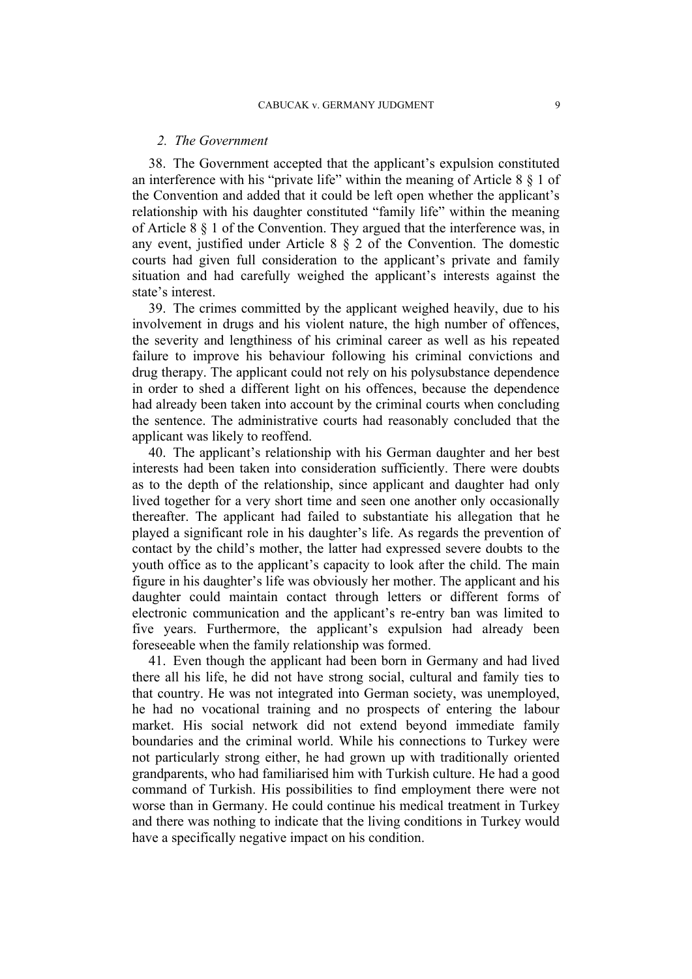#### *2. The Government*

38. The Government accepted that the applicant's expulsion constituted an interference with his "private life" within the meaning of Article 8 § 1 of the Convention and added that it could be left open whether the applicant's relationship with his daughter constituted "family life" within the meaning of Article 8 § 1 of the Convention. They argued that the interference was, in any event, justified under Article 8 § 2 of the Convention. The domestic courts had given full consideration to the applicant's private and family situation and had carefully weighed the applicant's interests against the state's interest.

39. The crimes committed by the applicant weighed heavily, due to his involvement in drugs and his violent nature, the high number of offences, the severity and lengthiness of his criminal career as well as his repeated failure to improve his behaviour following his criminal convictions and drug therapy. The applicant could not rely on his polysubstance dependence in order to shed a different light on his offences, because the dependence had already been taken into account by the criminal courts when concluding the sentence. The administrative courts had reasonably concluded that the applicant was likely to reoffend.

40. The applicant's relationship with his German daughter and her best interests had been taken into consideration sufficiently. There were doubts as to the depth of the relationship, since applicant and daughter had only lived together for a very short time and seen one another only occasionally thereafter. The applicant had failed to substantiate his allegation that he played a significant role in his daughter's life. As regards the prevention of contact by the child's mother, the latter had expressed severe doubts to the youth office as to the applicant's capacity to look after the child. The main figure in his daughter's life was obviously her mother. The applicant and his daughter could maintain contact through letters or different forms of electronic communication and the applicant's re-entry ban was limited to five years. Furthermore, the applicant's expulsion had already been foreseeable when the family relationship was formed.

41. Even though the applicant had been born in Germany and had lived there all his life, he did not have strong social, cultural and family ties to that country. He was not integrated into German society, was unemployed, he had no vocational training and no prospects of entering the labour market. His social network did not extend beyond immediate family boundaries and the criminal world. While his connections to Turkey were not particularly strong either, he had grown up with traditionally oriented grandparents, who had familiarised him with Turkish culture. He had a good command of Turkish. His possibilities to find employment there were not worse than in Germany. He could continue his medical treatment in Turkey and there was nothing to indicate that the living conditions in Turkey would have a specifically negative impact on his condition.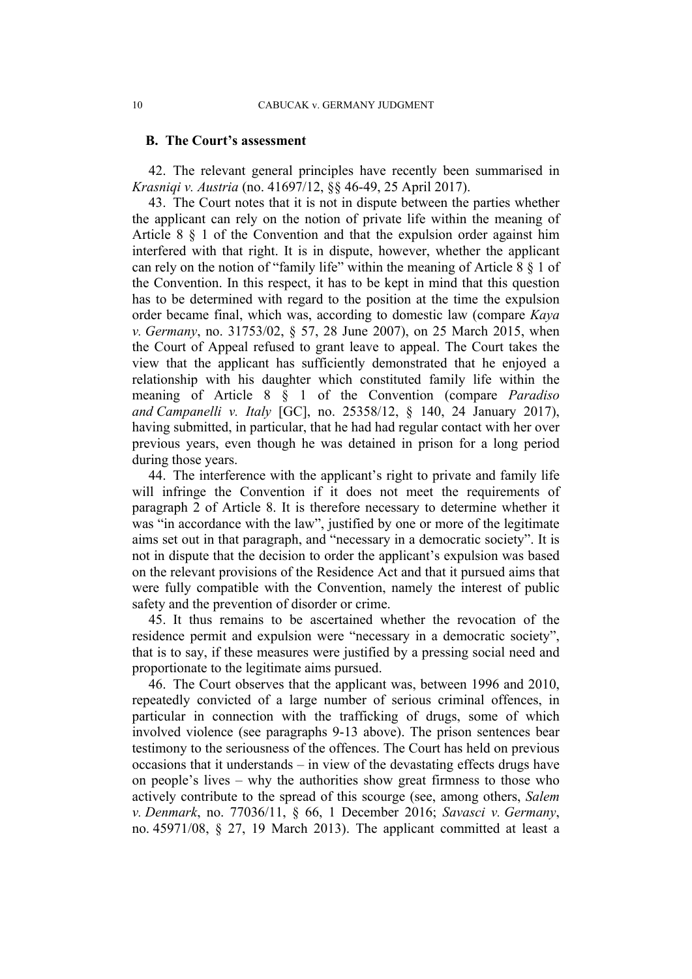#### **B. The Court's assessment**

42. The relevant general principles have recently been summarised in *Krasniqi v. Austria* (no. 41697/12, §§ 46-49, 25 April 2017).

43. The Court notes that it is not in dispute between the parties whether the applicant can rely on the notion of private life within the meaning of Article 8 § 1 of the Convention and that the expulsion order against him interfered with that right. It is in dispute, however, whether the applicant can rely on the notion of "family life" within the meaning of Article 8 § 1 of the Convention. In this respect, it has to be kept in mind that this question has to be determined with regard to the position at the time the expulsion order became final, which was, according to domestic law (compare *Kaya v. Germany*, no. 31753/02, § 57, 28 June 2007), on 25 March 2015, when the Court of Appeal refused to grant leave to appeal. The Court takes the view that the applicant has sufficiently demonstrated that he enjoyed a relationship with his daughter which constituted family life within the meaning of Article 8 § 1 of the Convention (compare *Paradiso and Campanelli v. Italy* [GC], no. 25358/12, § 140, 24 January 2017), having submitted, in particular, that he had had regular contact with her over previous years, even though he was detained in prison for a long period during those years.

44. The interference with the applicant's right to private and family life will infringe the Convention if it does not meet the requirements of paragraph 2 of Article 8. It is therefore necessary to determine whether it was "in accordance with the law", justified by one or more of the legitimate aims set out in that paragraph, and "necessary in a democratic society". It is not in dispute that the decision to order the applicant's expulsion was based on the relevant provisions of the Residence Act and that it pursued aims that were fully compatible with the Convention, namely the interest of public safety and the prevention of disorder or crime.

45. It thus remains to be ascertained whether the revocation of the residence permit and expulsion were "necessary in a democratic society", that is to say, if these measures were justified by a pressing social need and proportionate to the legitimate aims pursued.

46. The Court observes that the applicant was, between 1996 and 2010, repeatedly convicted of a large number of serious criminal offences, in particular in connection with the trafficking of drugs, some of which involved violence (see paragraphs 9-13 above). The prison sentences bear testimony to the seriousness of the offences. The Court has held on previous occasions that it understands – in view of the devastating effects drugs have on people's lives – why the authorities show great firmness to those who actively contribute to the spread of this scourge (see, among others, *Salem v. Denmark*, no. 77036/11, § 66, 1 December 2016; *Savasci v. Germany*, no. 45971/08, § 27, 19 March 2013). The applicant committed at least a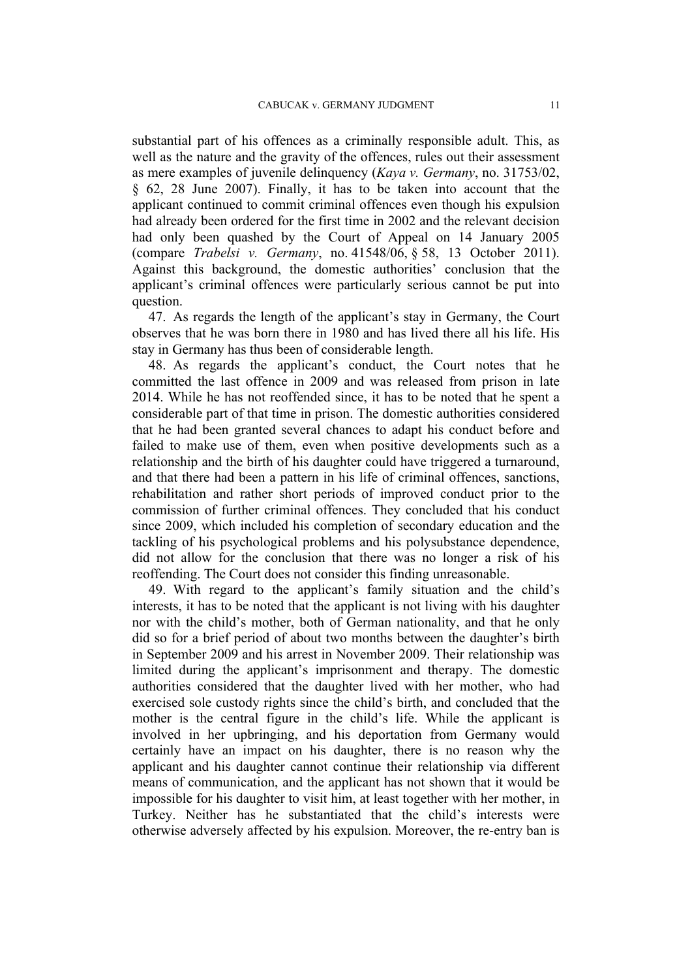substantial part of his offences as a criminally responsible adult. This, as well as the nature and the gravity of the offences, rules out their assessment as mere examples of juvenile delinquency (*Kaya v. Germany*, no. 31753/02, § 62, 28 June 2007). Finally, it has to be taken into account that the applicant continued to commit criminal offences even though his expulsion had already been ordered for the first time in 2002 and the relevant decision had only been quashed by the Court of Appeal on 14 January 2005 (compare *Trabelsi v. Germany*, no. 41548/06, § 58, 13 October 2011). Against this background, the domestic authorities' conclusion that the applicant's criminal offences were particularly serious cannot be put into question.

47. As regards the length of the applicant's stay in Germany, the Court observes that he was born there in 1980 and has lived there all his life. His stay in Germany has thus been of considerable length.

48. As regards the applicant's conduct, the Court notes that he committed the last offence in 2009 and was released from prison in late 2014. While he has not reoffended since, it has to be noted that he spent a considerable part of that time in prison. The domestic authorities considered that he had been granted several chances to adapt his conduct before and failed to make use of them, even when positive developments such as a relationship and the birth of his daughter could have triggered a turnaround, and that there had been a pattern in his life of criminal offences, sanctions, rehabilitation and rather short periods of improved conduct prior to the commission of further criminal offences. They concluded that his conduct since 2009, which included his completion of secondary education and the tackling of his psychological problems and his polysubstance dependence, did not allow for the conclusion that there was no longer a risk of his reoffending. The Court does not consider this finding unreasonable.

49. With regard to the applicant's family situation and the child's interests, it has to be noted that the applicant is not living with his daughter nor with the child's mother, both of German nationality, and that he only did so for a brief period of about two months between the daughter's birth in September 2009 and his arrest in November 2009. Their relationship was limited during the applicant's imprisonment and therapy. The domestic authorities considered that the daughter lived with her mother, who had exercised sole custody rights since the child's birth, and concluded that the mother is the central figure in the child's life. While the applicant is involved in her upbringing, and his deportation from Germany would certainly have an impact on his daughter, there is no reason why the applicant and his daughter cannot continue their relationship via different means of communication, and the applicant has not shown that it would be impossible for his daughter to visit him, at least together with her mother, in Turkey. Neither has he substantiated that the child's interests were otherwise adversely affected by his expulsion. Moreover, the re-entry ban is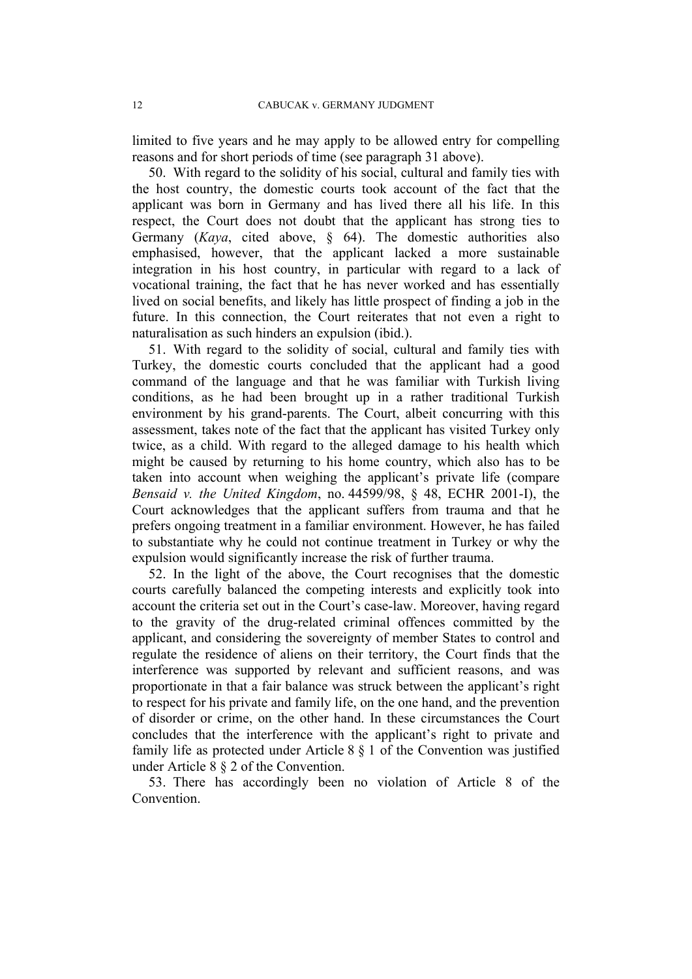limited to five years and he may apply to be allowed entry for compelling reasons and for short periods of time (see paragraph 31 above).

50. With regard to the solidity of his social, cultural and family ties with the host country, the domestic courts took account of the fact that the applicant was born in Germany and has lived there all his life. In this respect, the Court does not doubt that the applicant has strong ties to Germany (*Kaya*, cited above, § 64). The domestic authorities also emphasised, however, that the applicant lacked a more sustainable integration in his host country, in particular with regard to a lack of vocational training, the fact that he has never worked and has essentially lived on social benefits, and likely has little prospect of finding a job in the future. In this connection, the Court reiterates that not even a right to naturalisation as such hinders an expulsion (ibid.).

51. With regard to the solidity of social, cultural and family ties with Turkey, the domestic courts concluded that the applicant had a good command of the language and that he was familiar with Turkish living conditions, as he had been brought up in a rather traditional Turkish environment by his grand-parents. The Court, albeit concurring with this assessment, takes note of the fact that the applicant has visited Turkey only twice, as a child. With regard to the alleged damage to his health which might be caused by returning to his home country, which also has to be taken into account when weighing the applicant's private life (compare *Bensaid v. the United Kingdom*, no. 44599/98, § 48, ECHR 2001-I), the Court acknowledges that the applicant suffers from trauma and that he prefers ongoing treatment in a familiar environment. However, he has failed to substantiate why he could not continue treatment in Turkey or why the expulsion would significantly increase the risk of further trauma.

52. In the light of the above, the Court recognises that the domestic courts carefully balanced the competing interests and explicitly took into account the criteria set out in the Court's case-law. Moreover, having regard to the gravity of the drug-related criminal offences committed by the applicant, and considering the sovereignty of member States to control and regulate the residence of aliens on their territory, the Court finds that the interference was supported by relevant and sufficient reasons, and was proportionate in that a fair balance was struck between the applicant's right to respect for his private and family life, on the one hand, and the prevention of disorder or crime, on the other hand. In these circumstances the Court concludes that the interference with the applicant's right to private and family life as protected under Article 8 § 1 of the Convention was justified under Article 8 § 2 of the Convention.

53. There has accordingly been no violation of Article 8 of the Convention.